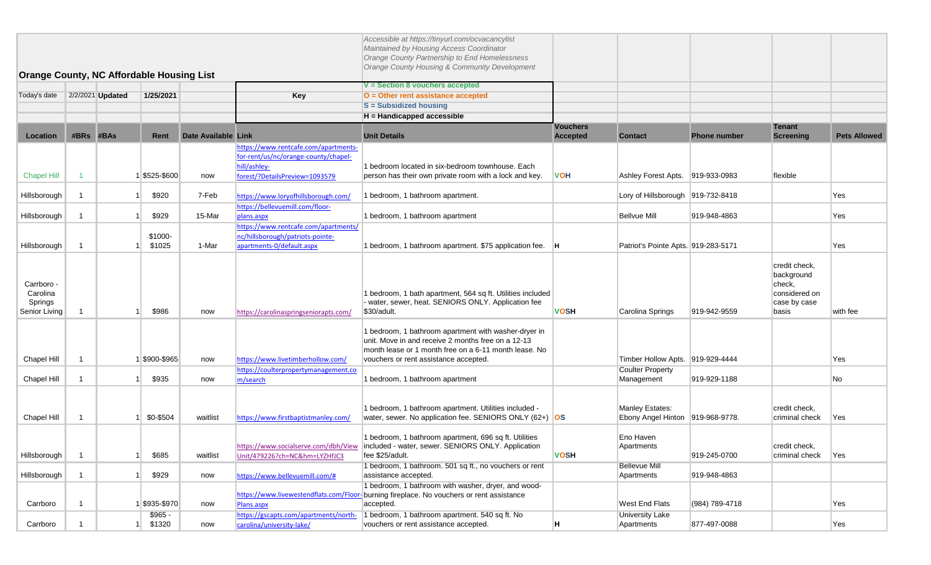| <b>Orange County, NC Affordable Housing List</b>   |           |                  |                    |                     |                                                                                                                                | Accessible at https://tinyurl.com/ocvacancylist<br>Maintained by Housing Access Coordinator<br>Orange County Partnership to End Homelessness<br>Orange County Housing & Community Development                |                                    |                                                     |                     |                                                                                 |                     |
|----------------------------------------------------|-----------|------------------|--------------------|---------------------|--------------------------------------------------------------------------------------------------------------------------------|--------------------------------------------------------------------------------------------------------------------------------------------------------------------------------------------------------------|------------------------------------|-----------------------------------------------------|---------------------|---------------------------------------------------------------------------------|---------------------|
|                                                    |           |                  |                    |                     |                                                                                                                                | V = Section 8 vouchers accepted                                                                                                                                                                              |                                    |                                                     |                     |                                                                                 |                     |
| Today's date                                       |           | 2/2/2021 Updated | 1/25/2021          |                     | Key                                                                                                                            | O = Other rent assistance accepted                                                                                                                                                                           |                                    |                                                     |                     |                                                                                 |                     |
|                                                    |           |                  |                    |                     |                                                                                                                                | <b>S</b> = Subsidized housing                                                                                                                                                                                |                                    |                                                     |                     |                                                                                 |                     |
|                                                    |           |                  |                    |                     |                                                                                                                                | H = Handicapped accessible                                                                                                                                                                                   |                                    |                                                     |                     |                                                                                 |                     |
| Location                                           | #BRs #BAs |                  | Rent               | Date Available Link |                                                                                                                                | <b>Unit Details</b>                                                                                                                                                                                          | <b>Vouchers</b><br><b>Accepted</b> | <b>Contact</b>                                      | <b>Phone number</b> | <b>Tenant</b><br><b>Screening</b>                                               | <b>Pets Allowed</b> |
| <b>Chapel Hill</b>                                 |           |                  | \$525-\$600        | now                 | https://www.rentcafe.com/apartments-<br>for-rent/us/nc/orange-county/chapel-<br>hill/ashley-<br>forest/?DetailsPreview=1093579 | 1 bedroom located in six-bedroom townhouse. Each<br>person has their own private room with a lock and key.                                                                                                   | <b>VOH</b>                         | Ashley Forest Apts. 919-933-0983                    |                     | flexible                                                                        |                     |
| Hillsborough                                       |           |                  | \$920              | 7-Feb               | https://www.loryofhillsborough.com/                                                                                            | 1 bedroom, 1 bathroom apartment.                                                                                                                                                                             |                                    | Lory of Hillsborough 919-732-8418                   |                     |                                                                                 | Yes                 |
| Hillsborough                                       |           |                  | \$929              | 15-Mar              | https://bellevuemill.com/floor-<br>plans.aspx                                                                                  | 1 bedroom, 1 bathroom apartment                                                                                                                                                                              |                                    | <b>Bellvue Mill</b>                                 | 919-948-4863        |                                                                                 | Yes                 |
| Hillsborough                                       |           |                  | \$1000-<br>\$1025  | 1-Mar               | https://www.rentcafe.com/apartments/<br>nc/hillsborough/patriots-pointe-<br>apartments-0/default.aspx                          | 1 bedroom, 1 bathroom apartment. \$75 application fee.  H                                                                                                                                                    |                                    | Patriot's Pointe Apts. 919-283-5171                 |                     |                                                                                 | Yes                 |
| Carrboro -<br>Carolina<br>Springs<br>Senior Living |           |                  | \$986              | now                 | https://carolinaspringseniorapts.com/                                                                                          | 1 bedroom, 1 bath apartment, 564 sq ft. Utilities included<br>water, sewer, heat. SENIORS ONLY. Application fee<br>\$30/adult.                                                                               | <b>VOSH</b>                        | Carolina Springs                                    | 919-942-9559        | credit check.<br>background<br>check,<br>considered on<br>case by case<br>basis | with fee            |
| Chapel Hill                                        |           |                  | \$900-\$965        | now                 | https://www.livetimberhollow.com/                                                                                              | 1 bedroom, 1 bathroom apartment with washer-dryer in<br>unit. Move in and receive 2 months free on a 12-13<br>month lease or 1 month free on a 6-11 month lease. No<br>vouchers or rent assistance accepted. |                                    | Timber Hollow Apts. 919-929-4444                    |                     |                                                                                 | Yes                 |
| Chapel Hill                                        |           |                  | \$935              | now                 | https://coulterpropertymanagement.co<br>m/search                                                                               | 1 bedroom, 1 bathroom apartment                                                                                                                                                                              |                                    | <b>Coulter Property</b><br>Management               | 919-929-1188        |                                                                                 | No                  |
| Chapel Hill                                        |           |                  | \$0-\$504          | waitlist            | https://www.firstbaptistmanley.com/                                                                                            | 1 bedroom, 1 bathroom apartment. Utilities included -<br>water, sewer. No application fee. SENIORS ONLY (62+) OS                                                                                             |                                    | Manley Estates:<br>Ebony Angel Hinton 919-968-9778. |                     | credit check,<br>criminal check                                                 | Yes                 |
| Hillsborough                                       |           |                  | \$685              | waitlist            | Unit/479226?ch=NC&hm=LYZHfJC3                                                                                                  | 1 bedroom, 1 bathroom apartment, 696 sq ft. Utilities<br>https://www.socialserve.com/dbh/View  included - water, sewer. SENIORS ONLY. Application<br>fee \$25/adult.                                         | <b>VOSH</b>                        | Eno Haven<br>Apartments                             | 919-245-0700        | credit check,<br>criminal check                                                 | <b>Yes</b>          |
| Hillsborough                                       | -1        |                  | \$929              | now                 | https://www.bellevuemill.com/#                                                                                                 | 1 bedroom, 1 bathroom. 501 sq ft., no vouchers or rent<br>assistance accepted.                                                                                                                               |                                    | <b>Bellevue Mill</b><br>Apartments                  | 919-948-4863        |                                                                                 |                     |
| Carrboro                                           |           |                  | \$935-\$970        | now                 | https://www.livewestendflats.com/Floor<br>Plans.aspx                                                                           | 1 bedroom, 1 bathroom with washer, dryer, and wood-<br>burning fireplace. No vouchers or rent assistance<br>accepted.                                                                                        |                                    | <b>West End Flats</b>                               | (984) 789-4718      |                                                                                 | Yes                 |
| Carrboro                                           |           |                  | $$965 -$<br>\$1320 | now                 | https://gscapts.com/apartments/north-<br>carolina/university-lake/                                                             | 1 bedroom, 1 bathroom apartment. 540 sq ft. No<br>vouchers or rent assistance accepted.                                                                                                                      | H                                  | <b>University Lake</b><br>Apartments                | 877-497-0088        |                                                                                 | Yes                 |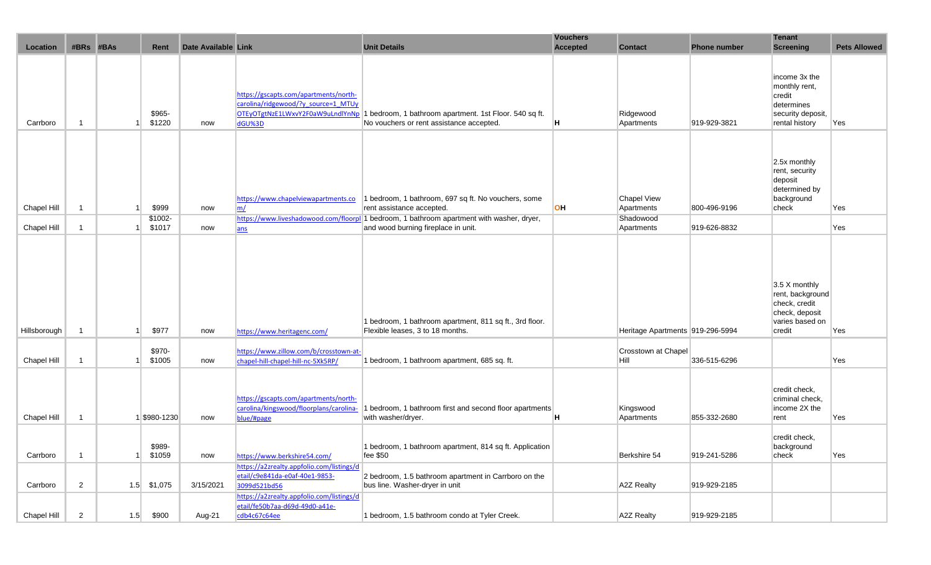| Location     | #BRs                    | #BAs | Rent              | Date Available Link |                                                                                                                            | <b>Unit Details</b>                                                                                                              | <b>Vouchers</b><br><b>Accepted</b> | <b>Contact</b>                   | <b>Phone number</b> | <b>Tenant</b><br><b>Screening</b>                                                                 | <b>Pets Allowed</b> |
|--------------|-------------------------|------|-------------------|---------------------|----------------------------------------------------------------------------------------------------------------------------|----------------------------------------------------------------------------------------------------------------------------------|------------------------------------|----------------------------------|---------------------|---------------------------------------------------------------------------------------------------|---------------------|
| Carrboro     | $\overline{\mathbf{1}}$ |      | \$965-<br>\$1220  | now                 | https://gscapts.com/apartments/north-<br>carolina/ridgewood/?y source=1 MTUy<br>OTEyOTgtNzE1LWxvY2F0aW9uLndlYnNp<br>dGU%3D | 1 bedroom, 1 bathroom apartment. 1st Floor. 540 sq ft.<br>No vouchers or rent assistance accepted.                               | H                                  | Ridgewood<br>Apartments          | 919-929-3821        | income 3x the<br>monthly rent,<br>credit<br>determines<br>security deposit,<br>rental history     | Yes                 |
| Chapel Hill  | $\overline{1}$          |      | \$999             | now                 | https://www.chapelviewapartments.co<br>m/                                                                                  | 1 bedroom, 1 bathroom, 697 sq ft. No vouchers, some<br>rent assistance accepted.                                                 | <b>OH</b>                          | <b>Chapel View</b><br>Apartments | 800-496-9196        | 2.5x monthly<br>rent, security<br>deposit<br>determined by<br>background<br>check                 | Yes                 |
| Chapel Hill  | $\overline{1}$          |      | \$1002-<br>\$1017 | now                 | ans                                                                                                                        | https://www.liveshadowood.com/floorpl 1 bedroom, 1 bathroom apartment with washer, dryer,<br>and wood burning fireplace in unit. |                                    | Shadowood<br>Apartments          | 919-626-8832        |                                                                                                   | Yes                 |
| Hillsborough | -1                      |      | \$977             | now                 | https://www.heritagenc.com/                                                                                                | 1 bedroom, 1 bathroom apartment, 811 sq ft., 3rd floor.<br>Flexible leases, 3 to 18 months.                                      |                                    | Heritage Apartments 919-296-5994 |                     | 3.5 X monthly<br>rent, background<br>check, credit<br>check, deposit<br>varies based on<br>credit | Yes                 |
| Chapel Hill  | $\overline{\mathbf{1}}$ |      | \$970-<br>\$1005  | now                 | https://www.zillow.com/b/crosstown-at-<br>chapel-hill-chapel-hill-nc-5Xk5RP/                                               | 1 bedroom, 1 bathroom apartment, 685 sq. ft.                                                                                     |                                    | Crosstown at Chapel<br>Hill      | 336-515-6296        |                                                                                                   | Yes                 |
| Chapel Hill  | $\overline{1}$          |      | \$980-1230        | now                 | https://gscapts.com/apartments/north-<br>carolina/kingswood/floorplans/carolina-<br>blue/#page                             | 1 bedroom, 1 bathroom first and second floor apartments<br>with washer/dryer.                                                    | Η                                  | Kingswood<br>Apartments          | 855-332-2680        | credit check,<br>criminal check,<br>income 2X the<br>rent                                         | Yes                 |
| Carrboro     | -1                      |      | \$989-<br>\$1059  | now                 | https://www.berkshire54.com/                                                                                               | 1 bedroom, 1 bathroom apartment, 814 sq ft. Application<br>fee \$50                                                              |                                    | Berkshire 54                     | 919-241-5286        | credit check,<br>background<br>check                                                              | Yes                 |
| Carrboro     | $\overline{2}$          |      | $1.5$ \$1,075     | 3/15/2021           | https://a2zrealty.appfolio.com/listings/d<br>etail/c9e841da-e0af-40e1-9853-<br>3099d521bd56                                | 2 bedroom, 1.5 bathroom apartment in Carrboro on the<br>bus line. Washer-dryer in unit                                           |                                    | A2Z Realty                       | 919-929-2185        |                                                                                                   |                     |
| Chapel Hill  | $\overline{2}$          | 1.5  | \$900             | Aug-21              | https://a2zrealty.appfolio.com/listings/d<br>etail/fe50b7aa-d69d-49d0-a41e-<br>cdb4c67c64ee                                | 1 bedroom, 1.5 bathroom condo at Tyler Creek.                                                                                    |                                    | <b>A2Z Realty</b>                | 919-929-2185        |                                                                                                   |                     |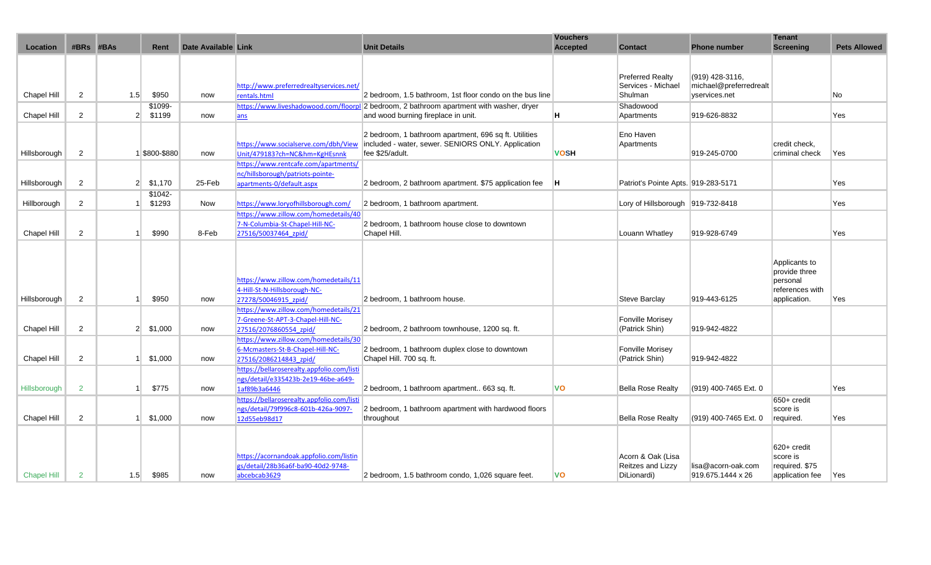|                    |                |                |               |                     |                                            |                                                                                                             | <b>Vouchers</b> |                                     |                        | <b>Tenant</b>              |                     |
|--------------------|----------------|----------------|---------------|---------------------|--------------------------------------------|-------------------------------------------------------------------------------------------------------------|-----------------|-------------------------------------|------------------------|----------------------------|---------------------|
| Location           | #BRs           | #BAs           | Rent          | Date Available Link |                                            | <b>Unit Details</b>                                                                                         | <b>Accepted</b> | <b>Contact</b>                      | <b>Phone number</b>    | <b>Screening</b>           | <b>Pets Allowed</b> |
|                    |                |                |               |                     |                                            |                                                                                                             |                 |                                     |                        |                            |                     |
|                    |                |                |               |                     |                                            |                                                                                                             |                 |                                     |                        |                            |                     |
|                    |                |                |               |                     |                                            |                                                                                                             |                 | <b>Preferred Realty</b>             | (919) 428-3116,        |                            |                     |
|                    |                |                |               |                     | http://www.preferredrealtyservices.net/    |                                                                                                             |                 | Services - Michael                  | michael@preferredrealt |                            |                     |
| Chapel Hill        | $\overline{2}$ | 1.5            | \$950         | now                 | rentals.html                               | 2 bedroom, 1.5 bathroom, 1st floor condo on the bus line                                                    |                 | Shulman                             | yservices.net          |                            | No                  |
|                    |                |                | \$1099-       |                     |                                            | https://www.liveshadowood.com/floorpl 2 bedroom, 2 bathroom apartment with washer, dryer                    |                 | Shadowood                           |                        |                            |                     |
| <b>Chapel Hill</b> | $\overline{2}$ | 2 <sup>1</sup> | \$1199        | now                 | ans                                        | and wood burning fireplace in unit.                                                                         | н               | Apartments                          | 919-626-8832           |                            | Yes                 |
|                    |                |                |               |                     |                                            |                                                                                                             |                 |                                     |                        |                            |                     |
|                    |                |                |               |                     | https://www.socialserve.com/dbh/View       | 2 bedroom, 1 bathroom apartment, 696 sq ft. Utilities<br>included - water, sewer. SENIORS ONLY. Application |                 | Eno Haven<br>Apartments             |                        | credit check.              |                     |
| Hillsborough       | 2              |                | 1 \$800-\$880 | now                 | Unit/479183?ch=NC&hm=KgHEsnnk              | fee \$25/adult.                                                                                             | <b>VOSH</b>     |                                     | 919-245-0700           | criminal check             | Yes                 |
|                    |                |                |               |                     | https://www.rentcafe.com/apartments/       |                                                                                                             |                 |                                     |                        |                            |                     |
|                    |                |                |               |                     | nc/hillsborough/patriots-pointe-           |                                                                                                             |                 |                                     |                        |                            |                     |
| Hillsborough       | $\overline{2}$ | 2 <sup>1</sup> | \$1,170       | 25-Feb              | apartments-0/default.aspx                  | 2 bedroom, 2 bathroom apartment. \$75 application fee                                                       | lΗ              | Patriot's Pointe Apts. 919-283-5171 |                        |                            | Yes                 |
|                    |                |                | \$1042-       |                     |                                            |                                                                                                             |                 |                                     |                        |                            |                     |
| Hillborough        | $\overline{2}$ |                | \$1293        | Now                 | https://www.loryofhillsborough.com/        | 2 bedroom, 1 bathroom apartment.                                                                            |                 | Lory of Hillsborough 919-732-8418   |                        |                            | Yes                 |
|                    |                |                |               |                     | https://www.zillow.com/homedetails/40      |                                                                                                             |                 |                                     |                        |                            |                     |
|                    |                |                |               |                     | 7-N-Columbia-St-Chapel-Hill-NC-            | 2 bedroom, 1 bathroom house close to downtown                                                               |                 |                                     |                        |                            |                     |
| Chapel Hill        | $\overline{2}$ |                | \$990         | 8-Feb               | 27516/50037464 zpid/                       | Chapel Hill.                                                                                                |                 | Louann Whatley                      | 919-928-6749           |                            | Yes                 |
|                    |                |                |               |                     |                                            |                                                                                                             |                 |                                     |                        |                            |                     |
|                    |                |                |               |                     |                                            |                                                                                                             |                 |                                     |                        |                            |                     |
|                    |                |                |               |                     |                                            |                                                                                                             |                 |                                     |                        | Applicants to              |                     |
|                    |                |                |               |                     |                                            |                                                                                                             |                 |                                     |                        | provide three              |                     |
|                    |                |                |               |                     | https://www.zillow.com/homedetails/11      |                                                                                                             |                 |                                     |                        | personal                   |                     |
|                    |                |                |               |                     | 4-Hill-St-N-Hillsborough-NC-               |                                                                                                             |                 |                                     |                        | references with            |                     |
| Hillsborough       | 2              |                | \$950         | now                 | 27278/50046915 zpid/                       | 2 bedroom, 1 bathroom house.                                                                                |                 | Steve Barclay                       | 919-443-6125           | application.               | Yes                 |
|                    |                |                |               |                     | https://www.zillow.com/homedetails/21      |                                                                                                             |                 |                                     |                        |                            |                     |
|                    |                |                |               |                     | 7-Greene-St-APT-3-Chapel-Hill-NC-          |                                                                                                             |                 | <b>Fonville Morisey</b>             |                        |                            |                     |
| Chapel Hill        | 2              | 2 <sup>1</sup> | \$1,000       | now                 | 27516/2076860554 zpid/                     | 2 bedroom, 2 bathroom townhouse, 1200 sq. ft.                                                               |                 | (Patrick Shin)                      | 919-942-4822           |                            |                     |
|                    |                |                |               |                     | https://www.zillow.com/homedetails/30      |                                                                                                             |                 |                                     |                        |                            |                     |
|                    |                |                |               |                     | 6-Mcmasters-St-B-Chapel-Hill-NC-           | 2 bedroom, 1 bathroom duplex close to downtown                                                              |                 | <b>Fonville Morisey</b>             |                        |                            |                     |
| Chapel Hill        | $\overline{2}$ |                | \$1,000       | now                 | 27516/2086214843_zpid/                     | Chapel Hill. 700 sq. ft.                                                                                    |                 | (Patrick Shin)                      | 919-942-4822           |                            |                     |
|                    |                |                |               |                     | https://bellaroserealty.appfolio.com/listi |                                                                                                             |                 |                                     |                        |                            |                     |
|                    |                |                |               |                     | ngs/detail/e335423b-2e19-46be-a649-        |                                                                                                             |                 |                                     |                        |                            |                     |
| Hillsborough       | $\overline{2}$ | 1              | \$775         | now                 | 1af89b3a6446                               | 2 bedroom, 1 bathroom apartment 663 sq. ft.                                                                 | <b>VO</b>       | <b>Bella Rose Realty</b>            | (919) 400-7465 Ext. 0  |                            | Yes                 |
|                    |                |                |               |                     | https://bellaroserealty.appfolio.com/listi |                                                                                                             |                 |                                     |                        | 650+ credit                |                     |
|                    |                |                |               |                     | ngs/detail/79f996c8-601b-426a-9097-        | 2 bedroom, 1 bathroom apartment with hardwood floors                                                        |                 |                                     |                        | score is                   |                     |
| Chapel Hill        | $\overline{2}$ |                | \$1,000       | now                 | 12d55eb98d17                               | throughout                                                                                                  |                 | <b>Bella Rose Realty</b>            | (919) 400-7465 Ext. 0  | required.                  | Yes                 |
|                    |                |                |               |                     |                                            |                                                                                                             |                 |                                     |                        |                            |                     |
|                    |                |                |               |                     |                                            |                                                                                                             |                 |                                     |                        |                            |                     |
|                    |                |                |               |                     | https://acornandoak.appfolio.com/listin    |                                                                                                             |                 | Acorn & Oak (Lisa                   |                        | 620+ credit                |                     |
|                    |                |                |               |                     | gs/detail/28b36a6f-ba90-40d2-9748-         |                                                                                                             |                 | Reitzes and Lizzy                   | lisa@acorn-oak.com     | score is<br>required. \$75 |                     |
| <b>Chapel Hill</b> | 2              | 1.5            | \$985         | now                 | abcebcab3629                               | 2 bedroom, 1.5 bathroom condo, 1,026 square feet.                                                           | <b>VO</b>       | DiLionardi)                         | 919.675.1444 x 26      | application fee            | Yes                 |
|                    |                |                |               |                     |                                            |                                                                                                             |                 |                                     |                        |                            |                     |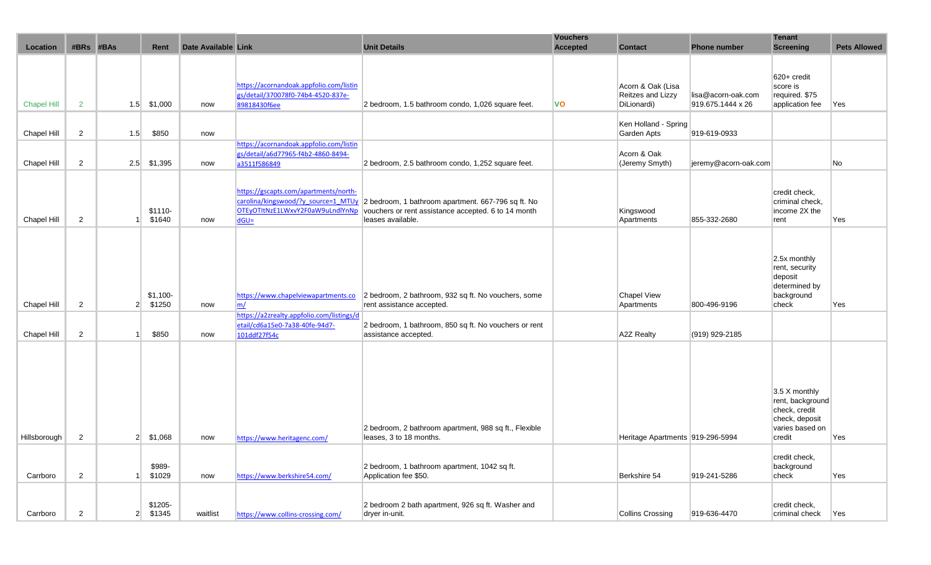| Location           | #BRs           | #BAs           | Rent                | Date Available Link |                                                                                                                            | <b>Unit Details</b>                                                                                                            | <b>Vouchers</b><br><b>Accepted</b> | <b>Contact</b>                                        | <b>Phone number</b>                     | <b>Tenant</b><br><b>Screening</b>                                                                 | <b>Pets Allowed</b> |
|--------------------|----------------|----------------|---------------------|---------------------|----------------------------------------------------------------------------------------------------------------------------|--------------------------------------------------------------------------------------------------------------------------------|------------------------------------|-------------------------------------------------------|-----------------------------------------|---------------------------------------------------------------------------------------------------|---------------------|
|                    |                |                |                     |                     |                                                                                                                            |                                                                                                                                |                                    |                                                       |                                         |                                                                                                   |                     |
| <b>Chapel Hill</b> | $\overline{2}$ |                | $1.5$ \$1,000       | now                 | https://acornandoak.appfolio.com/listin<br>gs/detail/370078f0-74b4-4520-837e-<br>89818430f6ee                              | 2 bedroom, 1.5 bathroom condo, 1,026 square feet.                                                                              | $\mathsf{v}\mathsf{o}$             | Acorn & Oak (Lisa<br>Reitzes and Lizzy<br>DiLionardi) | lisa@acorn-oak.com<br>919.675.1444 x 26 | 620+ credit<br>score is<br>required. \$75<br>application fee                                      | Yes                 |
| Chapel Hill        | $\overline{2}$ | 1.5            | \$850               | now                 |                                                                                                                            |                                                                                                                                |                                    | Ken Holland - Spring<br>Garden Apts                   | 919-619-0933                            |                                                                                                   |                     |
| Chapel Hill        | 2              | 2.5            | \$1,395             | now                 | https://acornandoak.appfolio.com/listin<br>gs/detail/a6d77965-f4b2-4860-8494-<br>a3511f586849                              | 2 bedroom, 2.5 bathroom condo, 1,252 square feet.                                                                              |                                    | Acorn & Oak<br>(Jeremy Smyth)                         | jeremy@acorn-oak.com                    |                                                                                                   | No                  |
| Chapel Hill        | 2              |                | $$1110-$<br>\$1640  | now                 | https://gscapts.com/apartments/north-<br>carolina/kingswood/?y source=1 MTUy<br>OTEyOTItNzE1LWxvY2F0aW9uLndlYnNp<br>$dGU=$ | 2 bedroom, 1 bathroom apartment. 667-796 sq ft. No<br>vouchers or rent assistance accepted. 6 to 14 month<br>leases available. |                                    | Kingswood<br>Apartments                               | 855-332-2680                            | credit check,<br>criminal check,<br>income 2X the<br>rent                                         | Yes                 |
| Chapel Hill        | $\overline{2}$ | 2 <sup>1</sup> | $$1,100-$<br>\$1250 | now                 | https://www.chapelviewapartments.co<br>m/                                                                                  | 2 bedroom, 2 bathroom, 932 sq ft. No vouchers, some<br>rent assistance accepted.                                               |                                    | <b>Chapel View</b><br>Apartments                      | 800-496-9196                            | 2.5x monthly<br>rent, security<br>deposit<br>determined by<br>background<br>check                 | Yes                 |
| Chapel Hill        | $\overline{2}$ |                | \$850               | now                 | https://a2zrealty.appfolio.com/listings/d<br>etail/cd6a15e0-7a38-40fe-94d7-<br>101ddf27f54c                                | 2 bedroom, 1 bathroom, 850 sq ft. No vouchers or rent<br>assistance accepted.                                                  |                                    | A2Z Realty                                            | (919) 929-2185                          |                                                                                                   |                     |
| Hillsborough       | 2              | 2 <sup>1</sup> | \$1,068             | now                 | https://www.heritagenc.com/                                                                                                | 2 bedroom, 2 bathroom apartment, 988 sq ft., Flexible<br>leases, 3 to 18 months.                                               |                                    | Heritage Apartments 919-296-5994                      |                                         | 3.5 X monthly<br>rent, background<br>check, credit<br>check, deposit<br>varies based on<br>credit | Yes                 |
| Carrboro           | $\overline{2}$ |                | \$989-<br>\$1029    | now                 | https://www.berkshire54.com/                                                                                               | 2 bedroom, 1 bathroom apartment, 1042 sq ft.<br>Application fee \$50.                                                          |                                    | Berkshire 54                                          | 919-241-5286                            | credit check,<br>background<br>check                                                              | Yes                 |
| Carrboro           | $\overline{c}$ | 2 <sup>2</sup> | \$1205-<br>\$1345   | waitlist            | https://www.collins-crossing.com/                                                                                          | 2 bedroom 2 bath apartment, 926 sq ft. Washer and<br>dryer in-unit.                                                            |                                    | <b>Collins Crossing</b>                               | 919-636-4470                            | credit check,<br>criminal check                                                                   | Yes                 |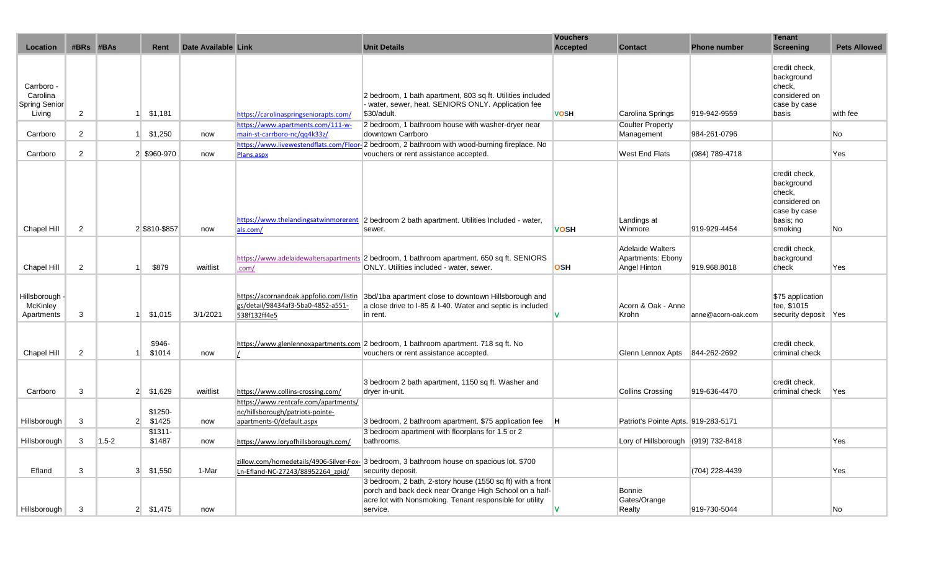| Location                                 | #BRs #BAs      |                | Rent                | Date Available Link |                                                                                                       | <b>Unit Details</b>                                                                                                                                                                          | <b>Vouchers</b><br><b>Accepted</b> | <b>Contact</b>                                               | <b>Phone number</b> | <b>Tenant</b><br><b>Screening</b>                                                              | <b>Pets Allowed</b> |
|------------------------------------------|----------------|----------------|---------------------|---------------------|-------------------------------------------------------------------------------------------------------|----------------------------------------------------------------------------------------------------------------------------------------------------------------------------------------------|------------------------------------|--------------------------------------------------------------|---------------------|------------------------------------------------------------------------------------------------|---------------------|
| Carrboro -<br>Carolina<br>Spring Senior  |                |                |                     |                     |                                                                                                       | 2 bedroom, 1 bath apartment, 803 sq ft. Utilities included<br>water, sewer, heat. SENIORS ONLY. Application fee                                                                              |                                    |                                                              |                     | credit check,<br>background<br>check,<br>considered on<br>case by case                         |                     |
| Living                                   | $\overline{2}$ |                | \$1,181             |                     | https://carolinaspringseniorapts.com/<br>https://www.apartments.com/111-w-                            | \$30/adult.<br>2 bedroom, 1 bathroom house with washer-dryer near                                                                                                                            | <b>VOSH</b>                        | Carolina Springs<br><b>Coulter Property</b>                  | 919-942-9559        | basis                                                                                          | with fee            |
| Carrboro                                 | $\overline{2}$ |                | \$1,250             | now                 | main-st-carrboro-nc/qq4k33z/                                                                          | downtown Carrboro                                                                                                                                                                            |                                    | Management                                                   | 984-261-0796        |                                                                                                | <b>No</b>           |
| Carrboro                                 | $\overline{2}$ |                | 2 \$960-970         | now                 | Plans.aspx                                                                                            | https://www.livewestendflats.com/Floor-2 bedroom, 2 bathroom with wood-burning fireplace. No<br>vouchers or rent assistance accepted.                                                        |                                    | West End Flats                                               | (984) 789-4718      |                                                                                                | Yes                 |
| Chapel Hill                              | $\overline{c}$ |                | 2 \$810-\$857       | now                 | als.com/                                                                                              | https://www.thelandingsatwinmorerent 2 bedroom 2 bath apartment. Utilities Included - water,<br>sewer.                                                                                       | <b>VOSH</b>                        | Landings at<br>Winmore                                       | 919-929-4454        | credit check,<br>background<br>check.<br>considered on<br>case by case<br>basis; no<br>smoking | No                  |
| Chapel Hill                              | $\overline{2}$ |                | \$879               | waitlist            | .com/                                                                                                 | https://www.adelaidewaltersapartments 2 bedroom, 1 bathroom apartment. 650 sq ft. SENIORS<br>ONLY. Utilities included - water, sewer.                                                        | <b>OSH</b>                         | <b>Adelaide Walters</b><br>Apartments: Ebony<br>Angel Hinton | 919.968.8018        | credit check,<br>background<br>check                                                           | Yes                 |
| Hillsborough -<br>McKinley<br>Apartments | 3              |                | \$1,015             | 3/1/2021            | https://acornandoak.appfolio.com/listin<br>gs/detail/98434af3-5ba0-4852-a551-<br>538f132ff4e5         | 3bd/1ba apartment close to downtown Hillsborough and<br>a close drive to I-85 & I-40. Water and septic is included<br>in rent.                                                               | N                                  | Acorn & Oak - Anne<br>Krohn                                  | anne@acorn-oak.com  | \$75 application<br>fee, \$1015<br>security deposit Yes                                        |                     |
| Chapel Hill                              | $\overline{2}$ |                | \$946-<br>\$1014    | now                 |                                                                                                       | https://www.glenlennoxapartments.com 2 bedroom, 1 bathroom apartment. 718 sq ft. No<br>vouchers or rent assistance accepted.                                                                 |                                    | Glenn Lennox Apts   844-262-2692                             |                     | credit check,<br>criminal check                                                                |                     |
| Carrboro                                 | 3              | 2 <sup>1</sup> | \$1,629             | waitlist            | https://www.collins-crossing.com/                                                                     | 3 bedroom 2 bath apartment, 1150 sq ft. Washer and<br>dryer in-unit.                                                                                                                         |                                    | <b>Collins Crossing</b>                                      | 919-636-4470        | credit check.<br>criminal check                                                                | Yes                 |
| Hillsborough                             | 3              | 2 <sup>1</sup> | \$1250-<br>\$1425   | now                 | https://www.rentcafe.com/apartments/<br>nc/hillsborough/patriots-pointe-<br>apartments-0/default.aspx | 3 bedroom, 2 bathroom apartment. \$75 application fee                                                                                                                                        | Iн.                                | Patriot's Pointe Apts. 919-283-5171                          |                     |                                                                                                |                     |
| Hillsborough                             | 3              | $1.5 - 2$      | $$1311 -$<br>\$1487 | now                 | https://www.loryofhillsborough.com/                                                                   | 3 bedroom apartment with floorplans for 1.5 or 2<br>bathrooms.                                                                                                                               |                                    | Lory of Hillsborough $(919)$ 732-8418                        |                     |                                                                                                | Yes                 |
| Efland                                   | 3              | 3 <sup>l</sup> | \$1,550             | 1-Mar               | Ln-Efland-NC-27243/88952264 zpid/                                                                     | zillow.com/homedetails/4906-Silver-Fox- 3 bedroom, 3 bathroom house on spacious lot. \$700<br>security deposit.                                                                              |                                    |                                                              | (704) 228-4439      |                                                                                                | Yes                 |
| Hillsborough                             | 3              | $\overline{2}$ | \$1,475             | now                 |                                                                                                       | 3 bedroom, 2 bath, 2-story house (1550 sq ft) with a front<br>porch and back deck near Orange High School on a half-<br>acre lot with Nonsmoking. Tenant responsible for utility<br>service. |                                    | Bonnie<br>Gates/Orange<br>Realty                             | 919-730-5044        |                                                                                                | No                  |